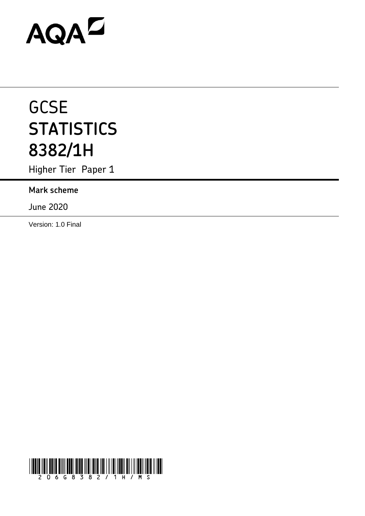# AQAZ

# **GCSE STATISTICS 8382/1H**

Higher Tier Paper 1

# **Mark scheme**

June 2020

Version: 1.0 Final

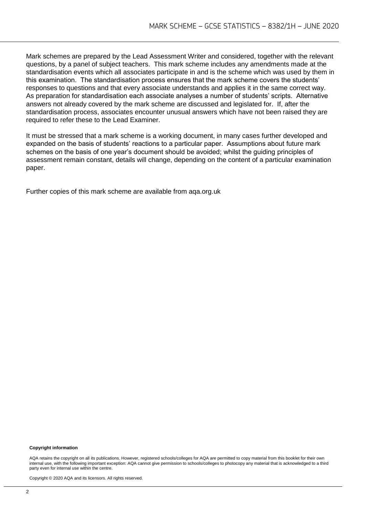Mark schemes are prepared by the Lead Assessment Writer and considered, together with the relevant questions, by a panel of subject teachers. This mark scheme includes any amendments made at the standardisation events which all associates participate in and is the scheme which was used by them in this examination. The standardisation process ensures that the mark scheme covers the students' responses to questions and that every associate understands and applies it in the same correct way. As preparation for standardisation each associate analyses a number of students' scripts. Alternative answers not already covered by the mark scheme are discussed and legislated for. If, after the standardisation process, associates encounter unusual answers which have not been raised they are required to refer these to the Lead Examiner.

It must be stressed that a mark scheme is a working document, in many cases further developed and expanded on the basis of students' reactions to a particular paper. Assumptions about future mark schemes on the basis of one year's document should be avoided; whilst the guiding principles of assessment remain constant, details will change, depending on the content of a particular examination paper.

Further copies of this mark scheme are available from aqa.org.uk

#### **Copyright information**

AQA retains the copyright on all its publications. However, registered schools/colleges for AQA are permitted to copy material from this booklet for their own internal use, with the following important exception: AQA cannot give permission to schools/colleges to photocopy any material that is acknowledged to a third party even for internal use within the centre.

Copyright © 2020 AQA and its licensors. All rights reserved.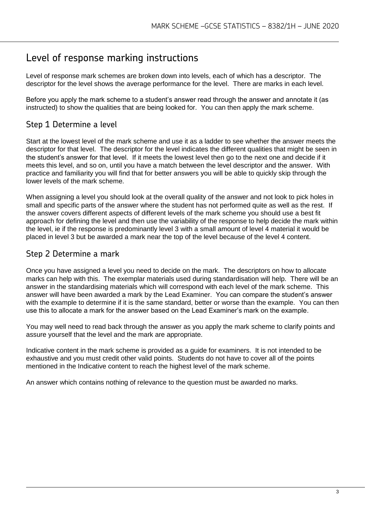# Level of response marking instructions

Level of response mark schemes are broken down into levels, each of which has a descriptor. The descriptor for the level shows the average performance for the level. There are marks in each level.

Before you apply the mark scheme to a student's answer read through the answer and annotate it (as instructed) to show the qualities that are being looked for. You can then apply the mark scheme.

## Step 1 Determine a level

Start at the lowest level of the mark scheme and use it as a ladder to see whether the answer meets the descriptor for that level. The descriptor for the level indicates the different qualities that might be seen in the student's answer for that level. If it meets the lowest level then go to the next one and decide if it meets this level, and so on, until you have a match between the level descriptor and the answer. With practice and familiarity you will find that for better answers you will be able to quickly skip through the lower levels of the mark scheme.

When assigning a level you should look at the overall quality of the answer and not look to pick holes in small and specific parts of the answer where the student has not performed quite as well as the rest. If the answer covers different aspects of different levels of the mark scheme you should use a best fit approach for defining the level and then use the variability of the response to help decide the mark within the level, ie if the response is predominantly level 3 with a small amount of level 4 material it would be placed in level 3 but be awarded a mark near the top of the level because of the level 4 content.

### Step 2 Determine a mark

Once you have assigned a level you need to decide on the mark. The descriptors on how to allocate marks can help with this. The exemplar materials used during standardisation will help. There will be an answer in the standardising materials which will correspond with each level of the mark scheme. This answer will have been awarded a mark by the Lead Examiner. You can compare the student's answer with the example to determine if it is the same standard, better or worse than the example. You can then use this to allocate a mark for the answer based on the Lead Examiner's mark on the example.

You may well need to read back through the answer as you apply the mark scheme to clarify points and assure yourself that the level and the mark are appropriate.

Indicative content in the mark scheme is provided as a guide for examiners. It is not intended to be exhaustive and you must credit other valid points. Students do not have to cover all of the points mentioned in the Indicative content to reach the highest level of the mark scheme.

An answer which contains nothing of relevance to the question must be awarded no marks.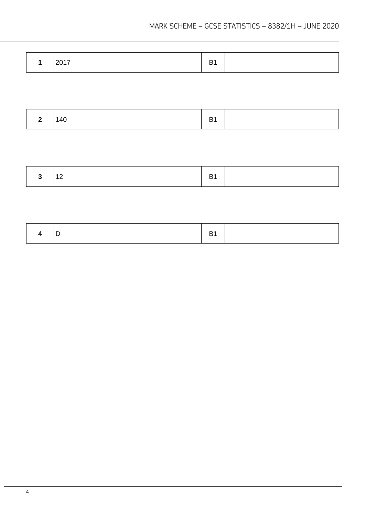|  | 140 | - 1 |  |
|--|-----|-----|--|
|--|-----|-----|--|

| . . | - |  |
|-----|---|--|
|-----|---|--|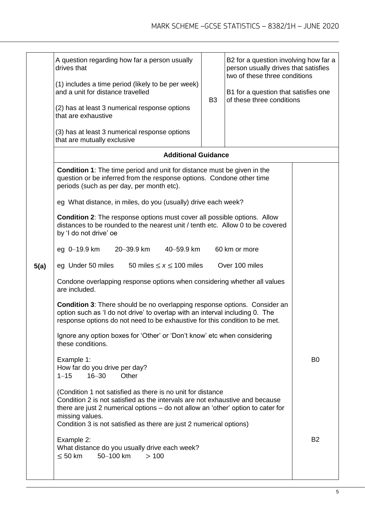|      | A question regarding how far a person usually<br>drives that<br>(1) includes a time period (likely to be per week)<br>and a unit for distance travelled<br>(2) has at least 3 numerical response options<br>that are exhaustive<br>(3) has at least 3 numerical response options                                          | B <sub>3</sub> | B2 for a question involving how far a<br>person usually drives that satisfies<br>two of these three conditions<br>B1 for a question that satisfies one<br>of these three conditions |           |  |
|------|---------------------------------------------------------------------------------------------------------------------------------------------------------------------------------------------------------------------------------------------------------------------------------------------------------------------------|----------------|-------------------------------------------------------------------------------------------------------------------------------------------------------------------------------------|-----------|--|
|      | that are mutually exclusive<br><b>Additional Guidance</b>                                                                                                                                                                                                                                                                 |                |                                                                                                                                                                                     |           |  |
|      | <b>Condition 1:</b> The time period and unit for distance must be given in the<br>question or be inferred from the response options. Condone other time<br>periods (such as per day, per month etc).                                                                                                                      |                |                                                                                                                                                                                     |           |  |
|      | eg What distance, in miles, do you (usually) drive each week?                                                                                                                                                                                                                                                             |                |                                                                                                                                                                                     |           |  |
|      | <b>Condition 2:</b> The response options must cover all possible options. Allow<br>distances to be rounded to the nearest unit / tenth etc. Allow 0 to be covered<br>by 'I do not drive' oe                                                                                                                               |                |                                                                                                                                                                                     |           |  |
|      | eg 0-19.9 km<br>20-39.9 km<br>40-59.9 km                                                                                                                                                                                                                                                                                  |                | 60 km or more                                                                                                                                                                       |           |  |
| 5(a) | Over 100 miles<br>eg Under 50 miles<br>50 miles $\leq x \leq 100$ miles                                                                                                                                                                                                                                                   |                |                                                                                                                                                                                     |           |  |
|      | Condone overlapping response options when considering whether all values<br>are included.                                                                                                                                                                                                                                 |                |                                                                                                                                                                                     |           |  |
|      | <b>Condition 3:</b> There should be no overlapping response options. Consider an<br>option such as 'I do not drive' to overlap with an interval including 0. The<br>response options do not need to be exhaustive for this condition to be met.                                                                           |                |                                                                                                                                                                                     |           |  |
|      | Ignore any option boxes for 'Other' or 'Don't know' etc when considering<br>these conditions.                                                                                                                                                                                                                             |                |                                                                                                                                                                                     |           |  |
|      | Example 1:<br>How far do you drive per day?<br>$16 - 30$<br>Other<br>$1 - 15$                                                                                                                                                                                                                                             | B <sub>0</sub> |                                                                                                                                                                                     |           |  |
|      | (Condition 1 not satisfied as there is no unit for distance<br>Condition 2 is not satisfied as the intervals are not exhaustive and because<br>there are just 2 numerical options - do not allow an 'other' option to cater for<br>missing values.<br>Condition 3 is not satisfied as there are just 2 numerical options) |                |                                                                                                                                                                                     |           |  |
|      | Example 2:<br>What distance do you usually drive each week?<br>$\leq 50$ km<br>50-100 km<br>>100                                                                                                                                                                                                                          |                |                                                                                                                                                                                     | <b>B2</b> |  |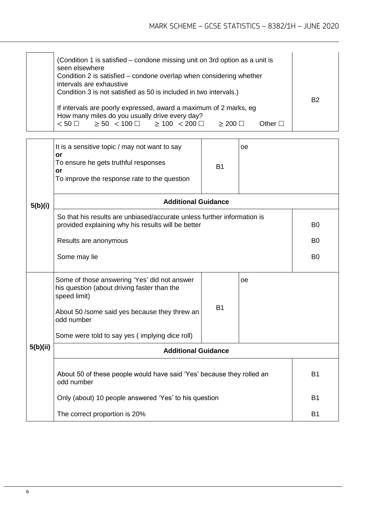| (Condition 1 is satisfied – condone missing unit on 3rd option as a unit is<br>seen elsewhere<br>Condition 2 is satisfied – condone overlap when considering whether<br>intervals are exhaustive<br>Condition 3 is not satisfied as 50 is included in two intervals.) |  |  |  |  |
|-----------------------------------------------------------------------------------------------------------------------------------------------------------------------------------------------------------------------------------------------------------------------|--|--|--|--|
| If intervals are poorly expressed, award a maximum of 2 marks, eq<br>How many miles do you usually drive every day?<br>$< 50$ $\Box$ $\geq 50$ $< 100$ $\Box$ $\geq 100$ $< 200$ $\Box$<br>Other $\Box$<br>$>$ 200 $\Box$                                             |  |  |  |  |

|          | It is a sensitive topic / may not want to say<br>or<br>To ensure he gets truthful responses<br>or<br>To improve the response rate to the question | <b>B1</b>      | oе |                |  |
|----------|---------------------------------------------------------------------------------------------------------------------------------------------------|----------------|----|----------------|--|
| 5(b)(i)  | <b>Additional Guidance</b>                                                                                                                        |                |    |                |  |
|          | So that his results are unbiased/accurate unless further information is<br>provided explaining why his results will be better                     | B <sub>0</sub> |    |                |  |
|          | Results are anonymous                                                                                                                             |                |    | B <sub>0</sub> |  |
|          | Some may lie                                                                                                                                      | B <sub>0</sub> |    |                |  |
|          | Some of those answering 'Yes' did not answer<br>his question (about driving faster than the<br>speed limit)                                       |                | oe |                |  |
|          | About 50 /some said yes because they threw an<br>odd number                                                                                       | <b>B1</b>      |    |                |  |
|          | Some were told to say yes (implying dice roll)                                                                                                    |                |    |                |  |
| 5(b)(ii) | <b>Additional Guidance</b>                                                                                                                        |                |    |                |  |
|          | About 50 of these people would have said 'Yes' because they rolled an<br>odd number                                                               | <b>B1</b>      |    |                |  |
|          | Only (about) 10 people answered 'Yes' to his question                                                                                             | <b>B1</b>      |    |                |  |
|          | The correct proportion is 20%                                                                                                                     | <b>B1</b>      |    |                |  |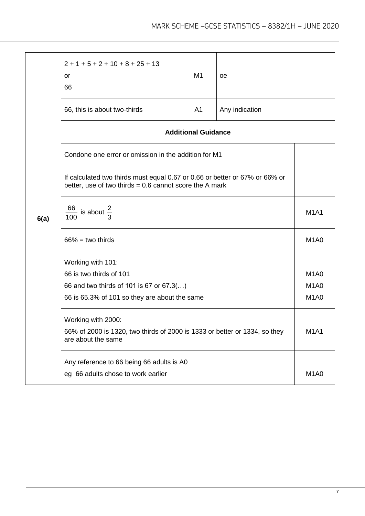|      | $2 + 1 + 5 + 2 + 10 + 8 + 25 + 13$<br><b>or</b><br>66                                                                                    | M <sub>1</sub> | оe             |                               |  |
|------|------------------------------------------------------------------------------------------------------------------------------------------|----------------|----------------|-------------------------------|--|
|      | 66, this is about two-thirds                                                                                                             | A <sub>1</sub> | Any indication |                               |  |
|      | <b>Additional Guidance</b>                                                                                                               |                |                |                               |  |
|      | Condone one error or omission in the addition for M1                                                                                     |                |                |                               |  |
|      | If calculated two thirds must equal 0.67 or 0.66 or better or 67% or 66% or<br>better, use of two thirds = $0.6$ cannot score the A mark |                |                |                               |  |
| 6(a) | $\frac{66}{100}$ is about $\frac{2}{3}$                                                                                                  |                |                | <b>M1A1</b>                   |  |
|      | $66\%$ = two thirds                                                                                                                      |                |                | M <sub>1</sub> A <sub>0</sub> |  |
|      | Working with 101:                                                                                                                        |                |                |                               |  |
|      | 66 is two thirds of 101                                                                                                                  |                |                | M <sub>1</sub> A <sub>0</sub> |  |
|      | 66 and two thirds of 101 is 67 or 67.3()                                                                                                 |                |                | M <sub>1</sub> A <sub>0</sub> |  |
|      | 66 is 65.3% of 101 so they are about the same                                                                                            |                |                | M <sub>1</sub> A <sub>0</sub> |  |
|      | Working with 2000:                                                                                                                       |                |                |                               |  |
|      | 66% of 2000 is 1320, two thirds of 2000 is 1333 or better or 1334, so they<br>are about the same                                         |                |                | <b>M1A1</b>                   |  |
|      | Any reference to 66 being 66 adults is A0                                                                                                |                |                |                               |  |
|      | eg 66 adults chose to work earlier                                                                                                       |                |                |                               |  |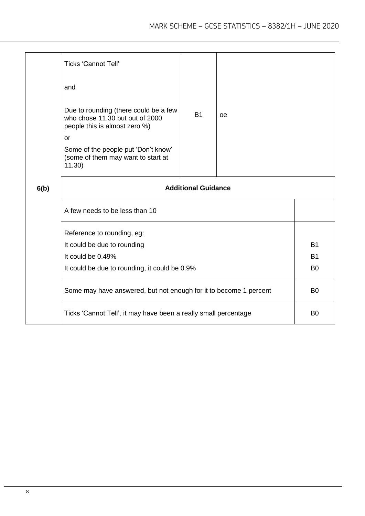|                                                                   | <b>Ticks 'Cannot Tell'</b>                                                                                |           |    |                |  |
|-------------------------------------------------------------------|-----------------------------------------------------------------------------------------------------------|-----------|----|----------------|--|
|                                                                   | and                                                                                                       |           |    |                |  |
|                                                                   | Due to rounding (there could be a few<br>who chose 11.30 but out of 2000<br>people this is almost zero %) | <b>B1</b> | oe |                |  |
|                                                                   | or                                                                                                        |           |    |                |  |
|                                                                   | Some of the people put 'Don't know'<br>(some of them may want to start at<br>11.30)                       |           |    |                |  |
| 6(b)                                                              | <b>Additional Guidance</b>                                                                                |           |    |                |  |
|                                                                   | A few needs to be less than 10                                                                            |           |    |                |  |
|                                                                   | Reference to rounding, eg:                                                                                |           |    |                |  |
|                                                                   | It could be due to rounding                                                                               |           |    |                |  |
|                                                                   | It could be 0.49%                                                                                         |           |    | <b>B1</b>      |  |
|                                                                   | It could be due to rounding, it could be 0.9%                                                             |           |    |                |  |
| Some may have answered, but not enough for it to become 1 percent |                                                                                                           |           |    | B <sub>0</sub> |  |
|                                                                   | Ticks 'Cannot Tell', it may have been a really small percentage                                           |           |    |                |  |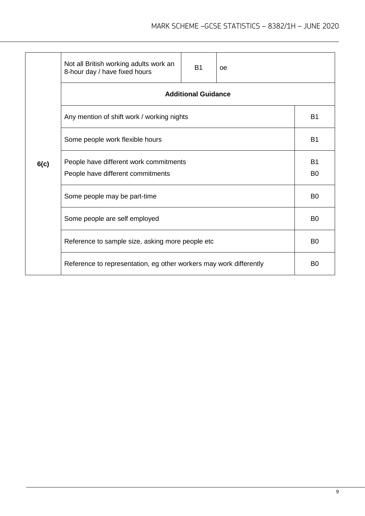|      | Not all British working adults work an<br>8-hour day / have fixed hours     | <b>B1</b> | oe |  |  |  |
|------|-----------------------------------------------------------------------------|-----------|----|--|--|--|
|      | <b>Additional Guidance</b>                                                  |           |    |  |  |  |
|      | Any mention of shift work / working nights                                  | <b>B1</b> |    |  |  |  |
|      | Some people work flexible hours                                             |           |    |  |  |  |
| 6(c) | People have different work commitments<br>People have different commitments |           |    |  |  |  |
|      | Some people may be part-time                                                |           |    |  |  |  |
|      | Some people are self employed                                               |           |    |  |  |  |
|      | Reference to sample size, asking more people etc                            |           |    |  |  |  |
|      | Reference to representation, eg other workers may work differently          |           |    |  |  |  |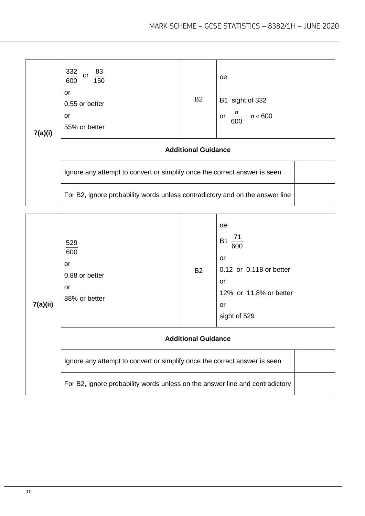| 7(a)(i) | $\frac{332}{600}$<br>or $\frac{83}{150}$<br>or<br>0.55 or better<br>or<br>55% or better                                                                   | <b>B2</b> | <sub>0e</sub><br>B1 sight of 332<br>or $\frac{n}{600}$ ; $n < 600$ |  |
|---------|-----------------------------------------------------------------------------------------------------------------------------------------------------------|-----------|--------------------------------------------------------------------|--|
|         | <b>Additional Guidance</b>                                                                                                                                |           |                                                                    |  |
|         | Ignore any attempt to convert or simplify once the correct answer is seen<br>For B2, ignore probability words unless contradictory and on the answer line |           |                                                                    |  |

| 7(a)(ii) | 529<br>600<br>or<br>0.88 or better<br>or<br>88% or better                    | <b>B2</b> | oe<br>$\frac{71}{1}$<br><b>B1</b><br>600<br>or<br>0.12 or 0.118 or better<br>or<br>12% or 11.8% or better<br>or<br>sight of 529 |  |
|----------|------------------------------------------------------------------------------|-----------|---------------------------------------------------------------------------------------------------------------------------------|--|
|          | <b>Additional Guidance</b>                                                   |           |                                                                                                                                 |  |
|          | Ignore any attempt to convert or simplify once the correct answer is seen    |           |                                                                                                                                 |  |
|          | For B2, ignore probability words unless on the answer line and contradictory |           |                                                                                                                                 |  |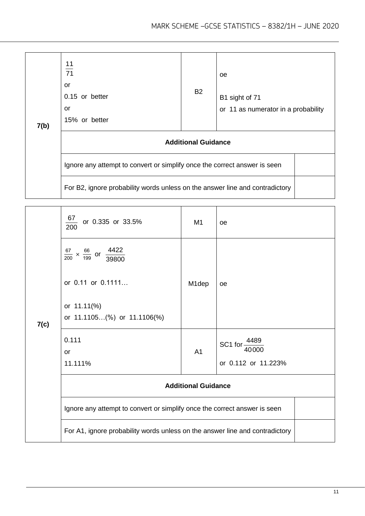| 7(b) | $\frac{11}{71}$<br>or<br>0.15 or better<br>or<br>15% or better               | <b>B2</b> | 0e<br>B1 sight of 71<br>or 11 as numerator in a probability |  |  |
|------|------------------------------------------------------------------------------|-----------|-------------------------------------------------------------|--|--|
|      | <b>Additional Guidance</b>                                                   |           |                                                             |  |  |
|      | Ignore any attempt to convert or simplify once the correct answer is seen    |           |                                                             |  |  |
|      | For B2, ignore probability words unless on the answer line and contradictory |           |                                                             |  |  |

|      | $\underline{67}$<br>or 0.335 or 33.5%<br>$\overline{200}$                    | M <sub>1</sub> | <b>oe</b>                         |  |
|------|------------------------------------------------------------------------------|----------------|-----------------------------------|--|
|      | $\frac{67}{200} \times \frac{66}{199}$ or $\frac{4422}{39800}$               |                |                                   |  |
|      | or 0.11 or 0.1111                                                            | M1dep          | <b>oe</b>                         |  |
| 7(c) | or 11.11(%)<br>or 11.1105(%) or 11.1106(%)                                   |                |                                   |  |
|      | 0.111                                                                        |                | SC1 for $\frac{4489}{ }$<br>40000 |  |
|      | <b>or</b><br>11.111%                                                         | A <sub>1</sub> | or 0.112 or 11.223%               |  |
|      | <b>Additional Guidance</b>                                                   |                |                                   |  |
|      | Ignore any attempt to convert or simplify once the correct answer is seen    |                |                                   |  |
|      | For A1, ignore probability words unless on the answer line and contradictory |                |                                   |  |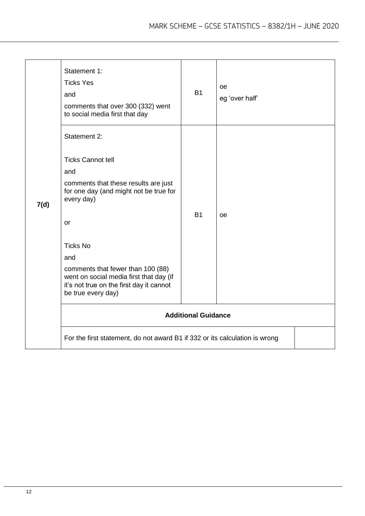|      | Statement 1:<br><b>Ticks Yes</b><br>and<br>comments that over 300 (332) went<br>to social media first that day                                                                                                                                                                                                                                                                                                   | <b>B1</b>                               | oe<br>eg 'over half' |  |
|------|------------------------------------------------------------------------------------------------------------------------------------------------------------------------------------------------------------------------------------------------------------------------------------------------------------------------------------------------------------------------------------------------------------------|-----------------------------------------|----------------------|--|
| 7(d) | Statement 2:<br><b>Ticks Cannot tell</b><br>and<br>comments that these results are just<br>for one day (and might not be true for<br>every day)<br>or<br><b>Ticks No</b><br>and<br>comments that fewer than 100 (88)<br>went on social media first that day (if<br>it's not true on the first day it cannot<br>be true every day)<br>For the first statement, do not award B1 if 332 or its calculation is wrong | <b>B1</b><br><b>Additional Guidance</b> | oe                   |  |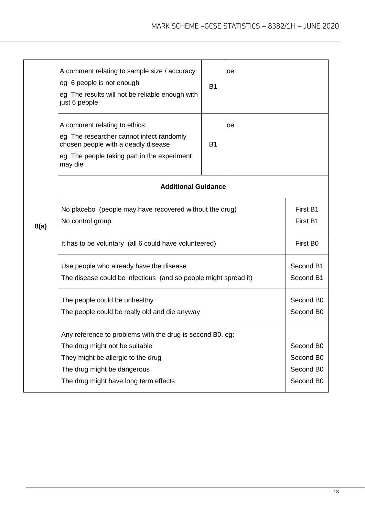|      | A comment relating to sample size / accuracy:<br>eg 6 people is not enough<br>eg The results will not be reliable enough with<br>just 6 people                             | <b>B1</b>              | оe |  |  |
|------|----------------------------------------------------------------------------------------------------------------------------------------------------------------------------|------------------------|----|--|--|
|      | A comment relating to ethics:<br>eg The researcher cannot infect randomly<br>chosen people with a deadly disease<br>eg The people taking part in the experiment<br>may die | <b>B1</b>              | oе |  |  |
|      | <b>Additional Guidance</b>                                                                                                                                                 |                        |    |  |  |
| 8(a) | No placebo (people may have recovered without the drug)<br>No control group                                                                                                |                        |    |  |  |
|      | It has to be voluntary (all 6 could have volunteered)                                                                                                                      | First B0               |    |  |  |
|      | Use people who already have the disease<br>The disease could be infectious (and so people might spread it)                                                                 |                        |    |  |  |
|      | The people could be unhealthy<br>The people could be really old and die anyway                                                                                             |                        |    |  |  |
|      | Any reference to problems with the drug is second B0, eg:                                                                                                                  |                        |    |  |  |
|      | The drug might not be suitable                                                                                                                                             | Second B0              |    |  |  |
|      | They might be allergic to the drug                                                                                                                                         | Second B0<br>Second B0 |    |  |  |
|      | The drug might be dangerous<br>The drug might have long term effects                                                                                                       |                        |    |  |  |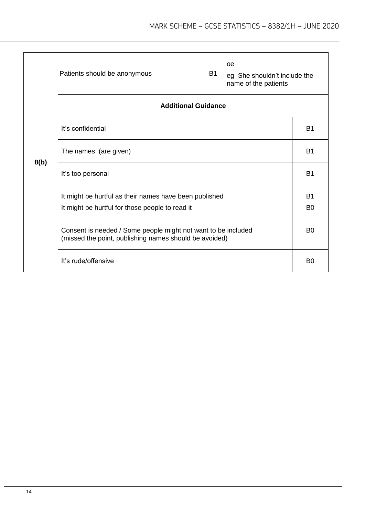|      | oe<br><b>B1</b><br>Patients should be anonymous<br>eg She shouldn't include the<br>name of the patients                 |  |  |  |  |
|------|-------------------------------------------------------------------------------------------------------------------------|--|--|--|--|
|      | <b>Additional Guidance</b>                                                                                              |  |  |  |  |
|      | It's confidential                                                                                                       |  |  |  |  |
| 8(b) | The names (are given)                                                                                                   |  |  |  |  |
|      | It's too personal                                                                                                       |  |  |  |  |
|      | It might be hurtful as their names have been published<br>It might be hurtful for those people to read it               |  |  |  |  |
|      | Consent is needed / Some people might not want to be included<br>(missed the point, publishing names should be avoided) |  |  |  |  |
|      | It's rude/offensive                                                                                                     |  |  |  |  |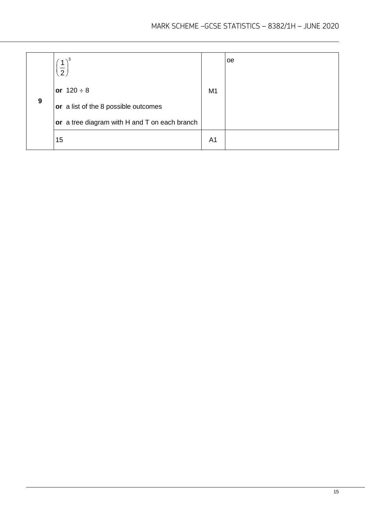|   | $1)^3$<br>$\overline{2}$                      |                | oe |
|---|-----------------------------------------------|----------------|----|
|   | or $120 \div 8$                               | M <sub>1</sub> |    |
| 9 | or a list of the 8 possible outcomes          |                |    |
|   | or a tree diagram with H and T on each branch |                |    |
|   | 15                                            | A <sub>1</sub> |    |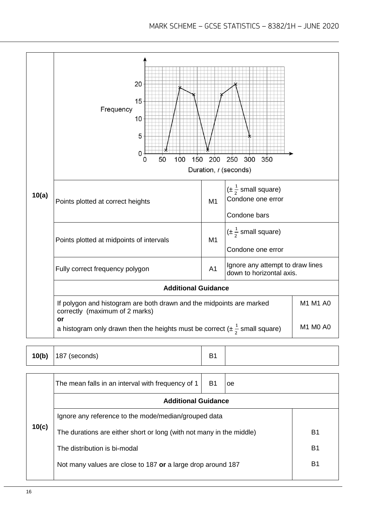

|       | The mean falls in an interval with frequency of 1                    | B1 | oe |    |
|-------|----------------------------------------------------------------------|----|----|----|
|       | <b>Additional Guidance</b>                                           |    |    |    |
|       | Ignore any reference to the mode/median/grouped data                 |    |    |    |
| 10(c) | The durations are either short or long (with not many in the middle) | B1 |    |    |
|       | The distribution is bi-modal                                         |    |    | B1 |
|       | Not many values are close to 187 or a large drop around 187          |    |    | В1 |
|       |                                                                      |    |    |    |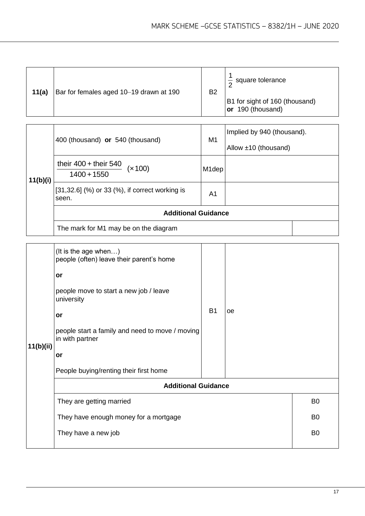| 11(a) | Bar for females aged 10-19 drawn at 190 | <b>B2</b> | $\frac{1}{2}$ square tolerance                      |
|-------|-----------------------------------------|-----------|-----------------------------------------------------|
|       |                                         |           | B1 for sight of 160 (thousand)<br>or 190 (thousand) |

| 11(b)(i) | 400 (thousand) or 540 (thousand)                        | M1                 | Implied by 940 (thousand).<br>Allow $±10$ (thousand) |
|----------|---------------------------------------------------------|--------------------|------------------------------------------------------|
|          | their $400 +$ their 540<br>(x 100)<br>$1400 + 1550$     | M <sub>1</sub> dep |                                                      |
|          | [31,32.6] (%) or 33 (%), if correct working is<br>seen. | A <sub>1</sub>     |                                                      |
|          | <b>Additional Guidance</b>                              |                    |                                                      |
|          | The mark for M1 may be on the diagram                   |                    |                                                      |

| 11(b)(ii) | (It is the age when)<br>people (often) leave their parent's home<br>or<br>people move to start a new job / leave<br>university<br>or<br>people start a family and need to move / moving<br>in with partner<br>or<br>People buying/renting their first home | <b>B1</b>      | oe |                |  |
|-----------|------------------------------------------------------------------------------------------------------------------------------------------------------------------------------------------------------------------------------------------------------------|----------------|----|----------------|--|
|           | <b>Additional Guidance</b>                                                                                                                                                                                                                                 |                |    |                |  |
|           | They are getting married                                                                                                                                                                                                                                   |                |    | B <sub>0</sub> |  |
|           | They have enough money for a mortgage                                                                                                                                                                                                                      | B <sub>0</sub> |    |                |  |
|           |                                                                                                                                                                                                                                                            |                |    |                |  |
|           | They have a new job                                                                                                                                                                                                                                        |                |    | B <sub>0</sub> |  |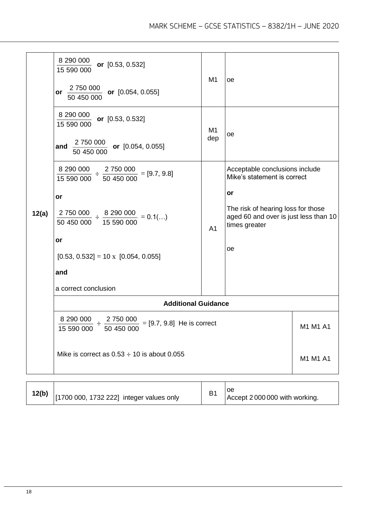|       | $\frac{8\,290\,000}{\sqrt{2}}$ or [0.53, 0.532]<br>15 590 000<br>or $\frac{2750000}{2500000}$ or [0.054, 0.055]<br>50 450 000                                                                                                                                    | M <sub>1</sub>        | oe                                                                                                                                                                        |          |
|-------|------------------------------------------------------------------------------------------------------------------------------------------------------------------------------------------------------------------------------------------------------------------|-----------------------|---------------------------------------------------------------------------------------------------------------------------------------------------------------------------|----------|
|       | $\frac{8\,290\,000}{\cdots}$ or [0.53, 0.532]<br>15 590 000<br>$\frac{2\,750\,000}{50\,450\,000}$ or [0.054, 0.055]<br>and                                                                                                                                       | M <sub>1</sub><br>dep | oe                                                                                                                                                                        |          |
| 12(a) | $\frac{8\,290\,000}{15\,590\,000} \div \frac{2\,750\,000}{50\,450\,000} = [9.7, 9.8]$<br>15 590 000<br>or<br>$\frac{2750000}{50450000} \div \frac{8290000}{15590000} = 0.1()$<br>or<br>$[0.53, 0.532] = 10 \times [0.054, 0.055]$<br>and<br>a correct conclusion | A <sub>1</sub>        | Acceptable conclusions include<br>Mike's statement is correct<br>or<br>The risk of hearing loss for those<br>aged 60 and over is just less than 10<br>times greater<br>oe |          |
|       | <b>Additional Guidance</b>                                                                                                                                                                                                                                       |                       |                                                                                                                                                                           |          |
|       | $\frac{8\ 290\ 000}{15\ 590\ 000}\div\frac{2\ 750\ 000}{50\ 450\ 000}$<br>$= [9.7, 9.8]$ He is correct                                                                                                                                                           |                       |                                                                                                                                                                           | M1 M1 A1 |
|       | Mike is correct as $0.53 \div 10$ is about 0.055                                                                                                                                                                                                                 |                       | M1 M1 A1                                                                                                                                                                  |          |
|       |                                                                                                                                                                                                                                                                  |                       |                                                                                                                                                                           |          |

| 12(b)<br>[1700 000, 1732 222] integer values only |  | Accept 2000000 with working. |
|---------------------------------------------------|--|------------------------------|
|---------------------------------------------------|--|------------------------------|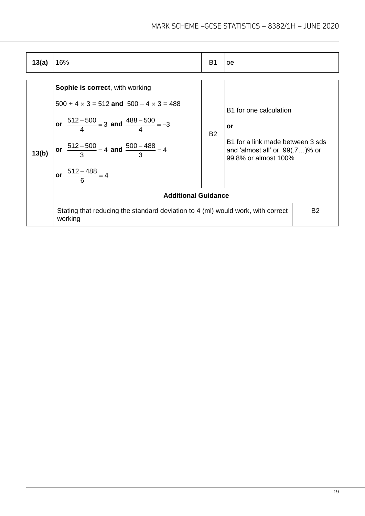| 13(a) | 16%<br>B <sub>1</sub><br>оe                                                                                                                                                                                                                        |           |                                                                                                                               |           |  |
|-------|----------------------------------------------------------------------------------------------------------------------------------------------------------------------------------------------------------------------------------------------------|-----------|-------------------------------------------------------------------------------------------------------------------------------|-----------|--|
| 13(b) | <b>Sophie is correct, with working</b><br>$500 + 4 \times 3 = 512$ and $500 - 4 \times 3 = 488$<br>or $\frac{512-500}{4} = 3$ and $\frac{488-500}{4} = -3$<br>or $\frac{512-500}{3}$ = 4 and $\frac{500-488}{3}$ = 4<br>or $\frac{512-488}{6} = 4$ | <b>B2</b> | B1 for one calculation<br>or<br>B1 for a link made between 3 sds<br>and 'almost all' or $99(.7)$ % or<br>99.8% or almost 100% |           |  |
|       | <b>Additional Guidance</b>                                                                                                                                                                                                                         |           |                                                                                                                               |           |  |
|       | Stating that reducing the standard deviation to 4 (ml) would work, with correct<br>working                                                                                                                                                         |           |                                                                                                                               | <b>B2</b> |  |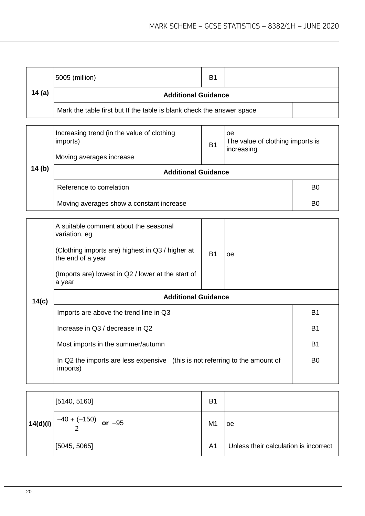|        | 5005 (million)                                                        | B <sub>1</sub> |  |  |  |
|--------|-----------------------------------------------------------------------|----------------|--|--|--|
| 14 (a) | <b>Additional Guidance</b>                                            |                |  |  |  |
|        | Mark the table first but If the table is blank check the answer space |                |  |  |  |

|        | Increasing trend (in the value of clothing<br>imports)<br>Moving averages increase | B <sub>1</sub> | oe<br>The value of clothing imports is<br>increasing |                |
|--------|------------------------------------------------------------------------------------|----------------|------------------------------------------------------|----------------|
| 14 (b) | <b>Additional Guidance</b>                                                         |                |                                                      |                |
|        | Reference to correlation                                                           |                |                                                      | B <sub>0</sub> |
|        | Moving averages show a constant increase                                           | B <sub>0</sub> |                                                      |                |

|       | A suitable comment about the seasonal<br>variation, eg<br>(Clothing imports are) highest in Q3 / higher at<br>the end of a year<br>(Imports are) lowest in Q2 / lower at the start of<br>a year            | <b>B1</b> | oe |  |  |
|-------|------------------------------------------------------------------------------------------------------------------------------------------------------------------------------------------------------------|-----------|----|--|--|
| 14(c) | <b>Additional Guidance</b>                                                                                                                                                                                 |           |    |  |  |
|       | Imports are above the trend line in Q3<br>Increase in Q3 / decrease in Q2<br>Most imports in the summer/autumn<br>In Q2 the imports are less expensive (this is not referring to the amount of<br>imports) |           |    |  |  |
|       |                                                                                                                                                                                                            |           |    |  |  |
|       |                                                                                                                                                                                                            |           |    |  |  |
|       |                                                                                                                                                                                                            |           |    |  |  |

| 14(d)(i) | [5140, 5160]               | B <sub>1</sub> |                                       |
|----------|----------------------------|----------------|---------------------------------------|
|          | $-40 + (-150)$<br>or $-95$ | M <sub>1</sub> | oe                                    |
|          | [5045, 5065]               | A <sub>1</sub> | Unless their calculation is incorrect |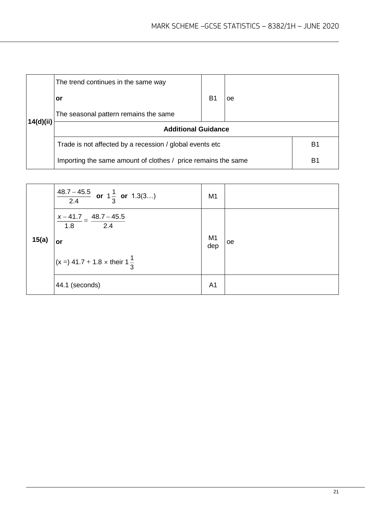|           | The trend continues in the same way                           |    |    |                |
|-----------|---------------------------------------------------------------|----|----|----------------|
|           | or                                                            | B1 | oe |                |
|           | The seasonal pattern remains the same                         |    |    |                |
| 14(d)(ii) | <b>Additional Guidance</b>                                    |    |    |                |
|           | Trade is not affected by a recession / global events etc      |    |    | B <sub>1</sub> |
|           | Importing the same amount of clothes / price remains the same | B1 |    |                |

|       | $\frac{48.7-45.5}{2.4}$ or $1\frac{1}{3}$ or 1.3(3)       | M <sub>1</sub>        |    |
|-------|-----------------------------------------------------------|-----------------------|----|
| 15(a) | $x - 41.7 - 48.7 - 45.5$<br>$\overline{2.4}$<br>1.8<br>or | M <sub>1</sub><br>dep | oe |
|       | $(x = 3 41.7 + 1.8 \times \text{their } 1\frac{1}{2})$    |                       |    |
|       | 44.1 (seconds)                                            | A <sub>1</sub>        |    |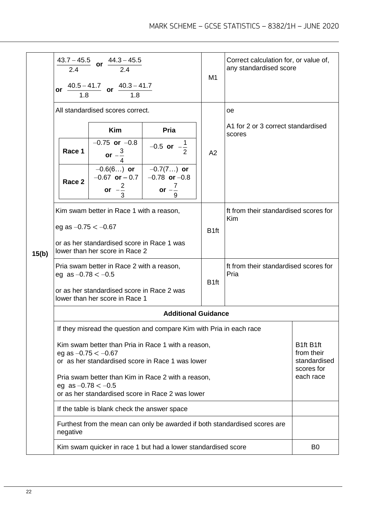|       |                                                                                                                                 | $\frac{43.7-45.5}{2.4}$ or $\frac{44.3-45.5}{2.4}$<br>or $\frac{40.5-41.7}{1.8}$ or $\frac{40.3-41.7}{1.8}$ |                                                        | M <sub>1</sub>   | Correct calculation for, or value of,<br>any standardised score |                                                       |
|-------|---------------------------------------------------------------------------------------------------------------------------------|-------------------------------------------------------------------------------------------------------------|--------------------------------------------------------|------------------|-----------------------------------------------------------------|-------------------------------------------------------|
|       | All standardised scores correct.                                                                                                |                                                                                                             |                                                        |                  | oe                                                              |                                                       |
|       |                                                                                                                                 |                                                                                                             |                                                        |                  | A1 for 2 or 3 correct standardised                              |                                                       |
|       |                                                                                                                                 | <b>Kim</b>                                                                                                  | Pria                                                   |                  | scores                                                          |                                                       |
|       | Race 1                                                                                                                          | $-0.75$ or $-0.8$<br>or $-\frac{3}{4}$                                                                      | $-0.5$ or $-\frac{1}{2}$                               | A2               |                                                                 |                                                       |
|       | Race 2                                                                                                                          | $-0.6(6)$ or<br>$-0.67$ or $-0.7$<br>or $-\frac{2}{3}$                                                      | $-0.7(7)$ or<br>$-0.78$ or $-0.8$<br>or $-\frac{7}{4}$ |                  |                                                                 |                                                       |
|       |                                                                                                                                 |                                                                                                             | 9                                                      |                  |                                                                 |                                                       |
|       | Kim swam better in Race 1 with a reason,                                                                                        |                                                                                                             |                                                        |                  | ft from their standardised scores for<br><b>Kim</b>             |                                                       |
|       | eg as $-0.75 < -0.67$                                                                                                           |                                                                                                             | B <sub>1ft</sub>                                       |                  |                                                                 |                                                       |
| 15(b) | or as her standardised score in Race 1 was<br>lower than her score in Race 2                                                    |                                                                                                             |                                                        |                  |                                                                 |                                                       |
|       | Pria swam better in Race 2 with a reason,<br>eg as $-0.78 < -0.5$                                                               |                                                                                                             |                                                        | B <sub>1ft</sub> | ft from their standardised scores for<br>Pria                   |                                                       |
|       | or as her standardised score in Race 2 was<br>lower than her score in Race 1                                                    |                                                                                                             |                                                        |                  |                                                                 |                                                       |
|       | <b>Additional Guidance</b>                                                                                                      |                                                                                                             |                                                        |                  |                                                                 |                                                       |
|       | If they misread the question and compare Kim with Pria in each race                                                             |                                                                                                             |                                                        |                  |                                                                 |                                                       |
|       | Kim swam better than Pria in Race 1 with a reason,<br>eg as $-0.75 < -0.67$<br>or as her standardised score in Race 1 was lower |                                                                                                             |                                                        |                  |                                                                 | B1ft B1ft<br>from their<br>standardised<br>scores for |
|       | Pria swam better than Kim in Race 2 with a reason,<br>eg as $-0.78 < -0.5$<br>or as her standardised score in Race 2 was lower  |                                                                                                             |                                                        |                  |                                                                 | each race                                             |
|       | If the table is blank check the answer space                                                                                    |                                                                                                             |                                                        |                  |                                                                 |                                                       |
|       | Furthest from the mean can only be awarded if both standardised scores are<br>negative                                          |                                                                                                             |                                                        |                  |                                                                 |                                                       |
|       | Kim swam quicker in race 1 but had a lower standardised score                                                                   |                                                                                                             |                                                        |                  |                                                                 | B <sub>0</sub>                                        |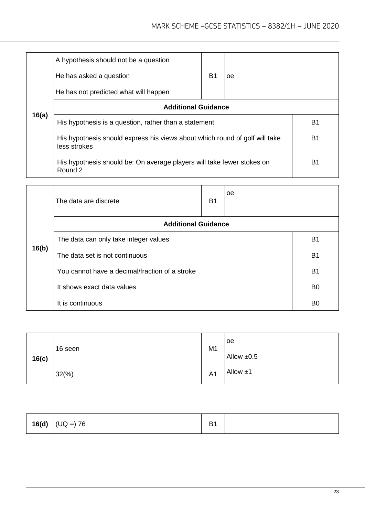|       | A hypothesis should not be a question<br>He has asked a question<br>He has not predicted what will happen | <b>B1</b> | oe |  |
|-------|-----------------------------------------------------------------------------------------------------------|-----------|----|--|
|       | <b>Additional Guidance</b>                                                                                |           |    |  |
| 16(a) | His hypothesis is a question, rather than a statement                                                     | <b>B1</b> |    |  |
|       | His hypothesis should express his views about which round of golf will take<br>less strokes               |           | B1 |  |
|       | His hypothesis should be: On average players will take fewer stokes on<br>Round 2                         | B1        |    |  |

|       | The data are discrete                          |           |  |                |  |  |
|-------|------------------------------------------------|-----------|--|----------------|--|--|
|       | <b>Additional Guidance</b>                     |           |  |                |  |  |
|       | The data can only take integer values          |           |  |                |  |  |
| 16(b) | The data set is not continuous                 |           |  |                |  |  |
|       | You cannot have a decimal/fraction of a stroke | <b>B1</b> |  |                |  |  |
|       | It shows exact data values                     |           |  |                |  |  |
|       | It is continuous                               |           |  | B <sub>0</sub> |  |  |

| 16(c) | 16 seen         | M <sub>1</sub> | loe<br>Allow $\pm 0.5$ |
|-------|-----------------|----------------|------------------------|
|       | $32\frac{6}{6}$ | A <sub>1</sub> | Allow $±1$             |

| 16(d)<br>$\vert$ (UQ =) 76 | D.<br><u>ت</u> |  |
|----------------------------|----------------|--|
|----------------------------|----------------|--|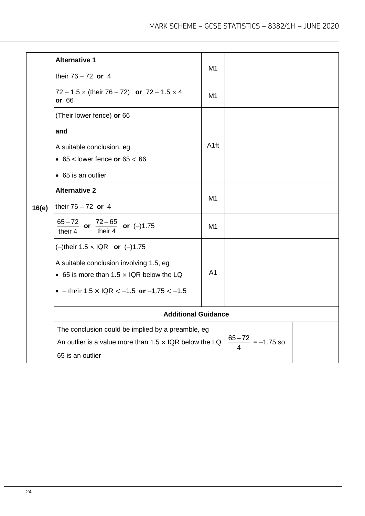| 16(e) | <b>Alternative 1</b><br>their $76 - 72$ or 4                                                                                                                                                 | M <sub>1</sub>   |  |  |
|-------|----------------------------------------------------------------------------------------------------------------------------------------------------------------------------------------------|------------------|--|--|
|       | 72 – 1.5 x (their 76 – 72) or 72 – 1.5 x 4<br>or 66                                                                                                                                          | M1               |  |  |
|       | (Their lower fence) or 66                                                                                                                                                                    |                  |  |  |
|       | and                                                                                                                                                                                          |                  |  |  |
|       | A suitable conclusion, eg<br>$\bullet$ 65 < lower fence or 65 < 66                                                                                                                           | A <sub>1ft</sub> |  |  |
|       | • 65 is an outlier                                                                                                                                                                           |                  |  |  |
|       | <b>Alternative 2</b><br>their $76 - 72$ or 4                                                                                                                                                 | M1               |  |  |
|       | $\frac{65-72}{\text{their 4}}$ or $\frac{72-65}{\text{their 4}}$ or (-)1.75                                                                                                                  | M <sub>1</sub>   |  |  |
|       | (-)their $1.5 \times IQR$ or (-)1.75<br>A suitable conclusion involving 1.5, eg<br>• 65 is more than $1.5 \times$ IQR below the LQ<br>• $-$ their 1.5 $\times$ IQR $<-1.5$ or $-1.75 < -1.5$ | A <sub>1</sub>   |  |  |
|       | <b>Additional Guidance</b>                                                                                                                                                                   |                  |  |  |
|       | The conclusion could be implied by a preamble, eg<br>An outlier is a value more than 1.5 x IQR below the LQ. $\frac{65-72}{4}$ = -1.75 so<br>65 is an outlier                                |                  |  |  |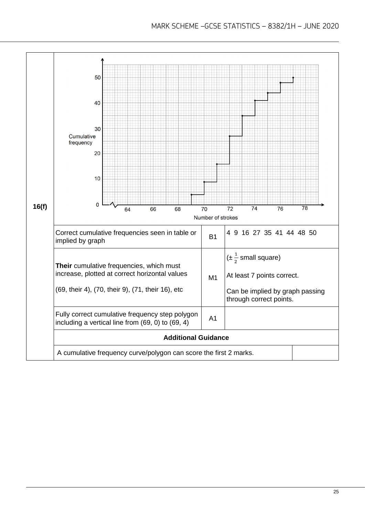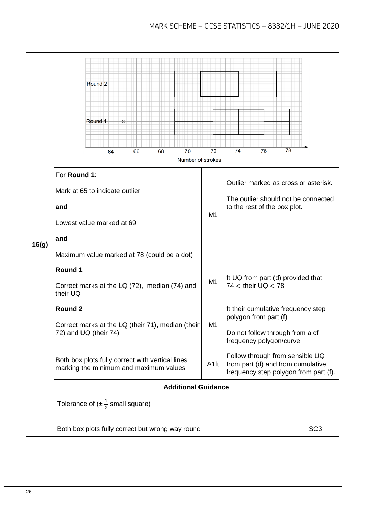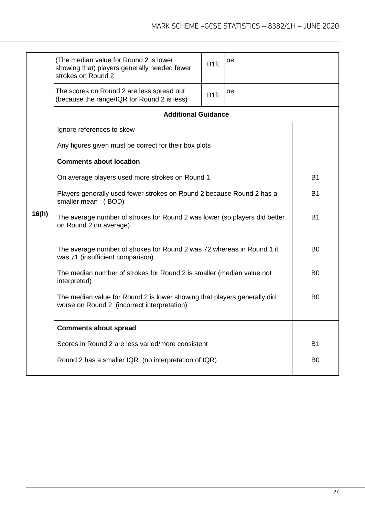|       | (The median value for Round 2 is lower<br>showing that) players generally needed fewer<br>strokes on Round 2 | B <sub>1ft</sub>                                                                                                        | oe               |    |           |  |
|-------|--------------------------------------------------------------------------------------------------------------|-------------------------------------------------------------------------------------------------------------------------|------------------|----|-----------|--|
|       |                                                                                                              | The scores on Round 2 are less spread out<br>(because the range/IQR for Round 2 is less)                                | B <sub>1ft</sub> | oе |           |  |
|       |                                                                                                              | <b>Additional Guidance</b>                                                                                              |                  |    |           |  |
|       |                                                                                                              | Ignore references to skew                                                                                               |                  |    |           |  |
|       |                                                                                                              | Any figures given must be correct for their box plots                                                                   |                  |    |           |  |
|       |                                                                                                              | <b>Comments about location</b>                                                                                          |                  |    |           |  |
|       |                                                                                                              | On average players used more strokes on Round 1                                                                         |                  |    | <b>B1</b> |  |
|       |                                                                                                              | Players generally used fewer strokes on Round 2 because Round 2 has a<br>smaller mean (BOD)                             | <b>B1</b>        |    |           |  |
| 16(h) |                                                                                                              | The average number of strokes for Round 2 was lower (so players did better<br>on Round 2 on average)                    | <b>B1</b>        |    |           |  |
|       |                                                                                                              | The average number of strokes for Round 2 was 72 whereas in Round 1 it<br>was 71 (insufficient comparison)              | B <sub>0</sub>   |    |           |  |
|       |                                                                                                              | The median number of strokes for Round 2 is smaller (median value not<br>interpreted)                                   | B <sub>0</sub>   |    |           |  |
|       |                                                                                                              | The median value for Round 2 is lower showing that players generally did<br>worse on Round 2 (incorrect interpretation) |                  |    |           |  |
|       |                                                                                                              | <b>Comments about spread</b>                                                                                            |                  |    |           |  |
|       |                                                                                                              | Scores in Round 2 are less varied/more consistent                                                                       |                  |    | <b>B1</b> |  |
|       |                                                                                                              | Round 2 has a smaller IQR (no interpretation of IQR)                                                                    |                  |    |           |  |
|       |                                                                                                              |                                                                                                                         |                  |    |           |  |